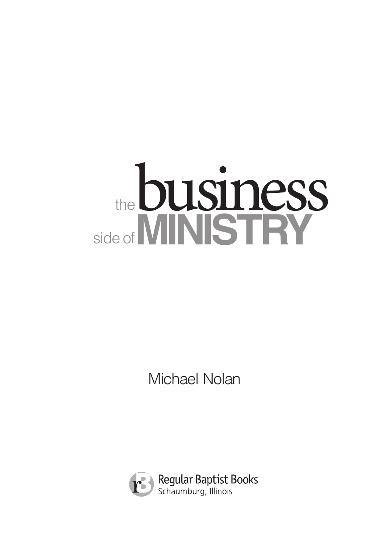# the I **ministry** business side of

Michael Nolan

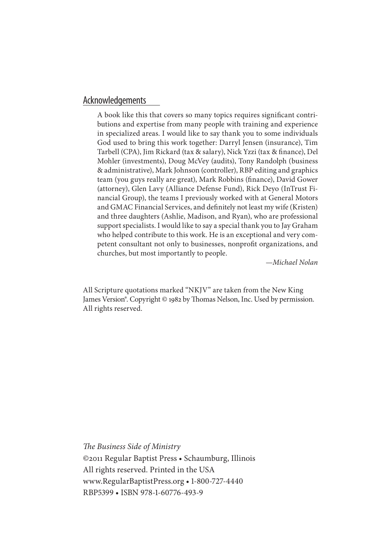### Acknowledgements

A book like this that covers so many topics requires significant contributions and expertise from many people with training and experience in specialized areas. I would like to say thank you to some individuals God used to bring this work together: Darryl Jensen (insurance), Tim Tarbell (CPA), Jim Rickard (tax & salary), Nick Yzzi (tax & finance), Del Mohler (investments), Doug McVey (audits), Tony Randolph (business & administrative), Mark Johnson (controller), RBP editing and graphics team (you guys really are great), Mark Robbins (finance), David Gower (attorney), Glen Lavy (Alliance Defense Fund), Rick Deyo (InTrust Financial Group), the teams I previously worked with at General Motors and GMAC Financial Services, and definitely not least my wife (Kristen) and three daughters (Ashlie, Madison, and Ryan), who are professional support specialists. I would like to say a special thank you to Jay Graham who helped contribute to this work. He is an exceptional and very competent consultant not only to businesses, nonprofit organizations, and churches, but most importantly to people.

—*Michael Nolan*

All Scripture quotations marked "NKJV" are taken from the New King James Version®. Copyright © 1982 by Thomas Nelson, Inc. Used by permission. All rights reserved.

*The Business Side of Ministry* ©2011 Regular Baptist Press • Schaumburg, Illinois All rights reserved. Printed in the USA www.RegularBaptistPress.org • 1-800-727-4440 RBP5399 • ISBN 978-1-60776-493-9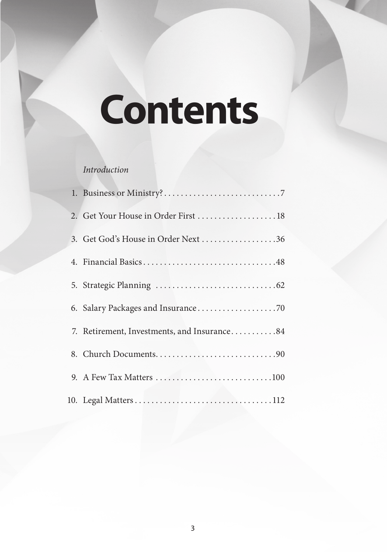# **Contents**

### *Introduction*

| 2. Get Your House in Order First  18        |  |
|---------------------------------------------|--|
| 3. Get God's House in Order Next 36         |  |
|                                             |  |
|                                             |  |
|                                             |  |
| 7. Retirement, Investments, and Insurance84 |  |
|                                             |  |
|                                             |  |
|                                             |  |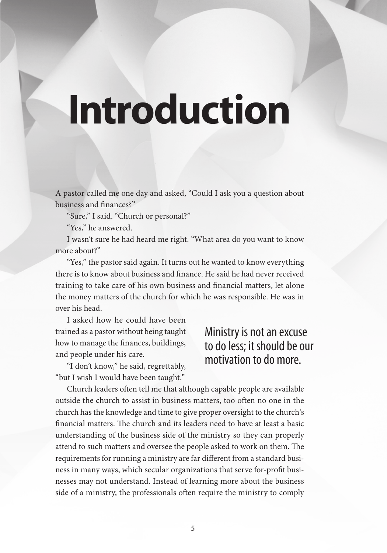# **Introduction**

A pastor called me one day and asked, "Could I ask you a question about business and finances?"

"Sure," I said. "Church or personal?"

"Yes," he answered.

I wasn't sure he had heard me right. "What area do you want to know more about?"

"Yes," the pastor said again. It turns out he wanted to know everything there is to know about business and finance. He said he had never received training to take care of his own business and financial matters, let alone the money matters of the church for which he was responsible. He was in over his head.

I asked how he could have been trained as a pastor without being taught how to manage the finances, buildings, and people under his care.

"I don't know," he said, regrettably, "but I wish I would have been taught."

## Ministry is not an excuse to do less; it should be our motivation to do more.

Church leaders often tell me that although capable people are available outside the church to assist in business matters, too often no one in the church has the knowledge and time to give proper oversight to the church's financial matters. The church and its leaders need to have at least a basic understanding of the business side of the ministry so they can properly attend to such matters and oversee the people asked to work on them. The requirements for running a ministry are far different from a standard business in many ways, which secular organizations that serve for-profit businesses may not understand. Instead of learning more about the business side of a ministry, the professionals often require the ministry to comply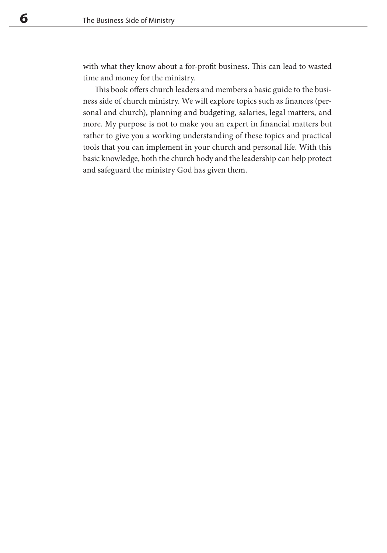with what they know about a for-profit business. This can lead to wasted time and money for the ministry.

This book offers church leaders and members a basic guide to the business side of church ministry. We will explore topics such as finances (personal and church), planning and budgeting, salaries, legal matters, and more. My purpose is not to make you an expert in financial matters but rather to give you a working understanding of these topics and practical tools that you can implement in your church and personal life. With this basic knowledge, both the church body and the leadership can help protect and safeguard the ministry God has given them.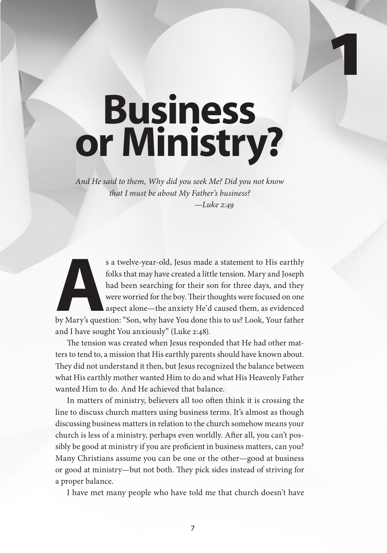# **Business or Ministry?**

1

*And He said to them, Why did you seek Me? Did you not know that I must be about My Father's business?*   $-$ *Luke 2:49* 

**As a twelve-year-old, Jesus made a statement to His earthly folks that may have created a little tension. Mary and Joseph had been searching for their son for three days, and they were worried for the boy. Their thoughts** folks that may have created a little tension. Mary and Joseph had been searching for their son for three days, and they were worried for the boy. Their thoughts were focused on one aspect alone—the anxiety He'd caused them, as evidenced and I have sought You anxiously" (Luke 2:48).

The tension was created when Jesus responded that He had other matters to tend to, a mission that His earthly parents should have known about. They did not understand it then, but Jesus recognized the balance between what His earthly mother wanted Him to do and what His Heavenly Father wanted Him to do. And He achieved that balance.

In matters of ministry, believers all too often think it is crossing the line to discuss church matters using business terms. It's almost as though discussing business matters in relation to the church somehow means your church is less of a ministry, perhaps even worldly. After all, you can't possibly be good at ministry if you are proficient in business matters, can you? Many Christians assume you can be one or the other—good at business or good at ministry—but not both. They pick sides instead of striving for a proper balance.

I have met many people who have told me that church doesn't have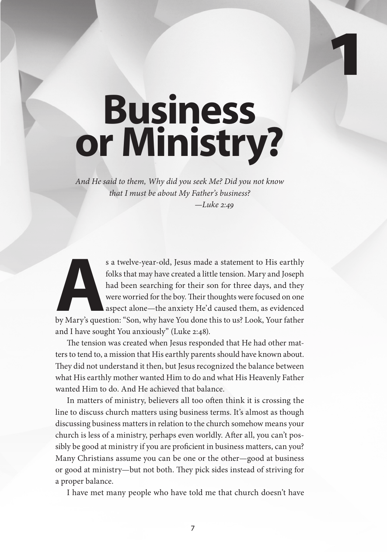# **Business or Ministry?**

**1**

*And He said to them, Why did you seek Me? Did you not know that I must be about My Father's business?*   $-$ *Luke 2:49* 

**As a twelve-year-old, Jesus made a statement to His earthly folks that may have created a little tension. Mary and Joseph had been searching for their son for three days, and they were worried for the boy. Their thoughts** folks that may have created a little tension. Mary and Joseph had been searching for their son for three days, and they were worried for the boy. Their thoughts were focused on one aspect alone—the anxiety He'd caused them, as evidenced and I have sought You anxiously" (Luke 2:48).

The tension was created when Jesus responded that He had other matters to tend to, a mission that His earthly parents should have known about. They did not understand it then, but Jesus recognized the balance between what His earthly mother wanted Him to do and what His Heavenly Father wanted Him to do. And He achieved that balance.

In matters of ministry, believers all too often think it is crossing the line to discuss church matters using business terms. It's almost as though discussing business matters in relation to the church somehow means your church is less of a ministry, perhaps even worldly. After all, you can't possibly be good at ministry if you are proficient in business matters, can you? Many Christians assume you can be one or the other—good at business or good at ministry—but not both. They pick sides instead of striving for a proper balance.

I have met many people who have told me that church doesn't have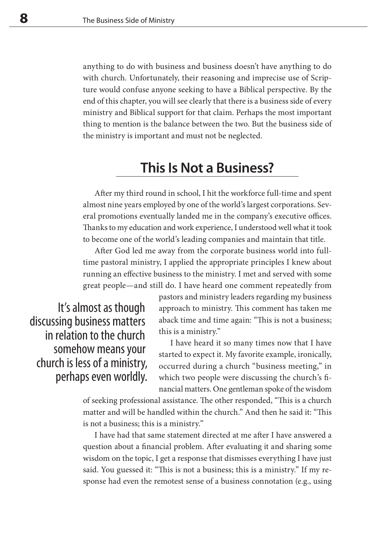anything to do with business and business doesn't have anything to do with church. Unfortunately, their reasoning and imprecise use of Scripture would confuse anyone seeking to have a Biblical perspective. By the end of this chapter, you will see clearly that there is a business side of every ministry and Biblical support for that claim. Perhaps the most important thing to mention is the balance between the two. But the business side of the ministry is important and must not be neglected.

# **This Is Not a Business?**

After my third round in school, I hit the workforce full-time and spent almost nine years employed by one of the world's largest corporations. Several promotions eventually landed me in the company's executive offices. Thanks to my education and work experience, I understood well what it took to become one of the world's leading companies and maintain that title.

After God led me away from the corporate business world into fulltime pastoral ministry, I applied the appropriate principles I knew about running an effective business to the ministry. I met and served with some great people—and still do. I have heard one comment repeatedly from

It's almost as though discussing business matters in relation to the church somehow means your church is less of a ministry, perhaps even worldly. pastors and ministry leaders regarding my business approach to ministry. This comment has taken me aback time and time again: "This is not a business; this is a ministry."

I have heard it so many times now that I have started to expect it. My favorite example, ironically, occurred during a church "business meeting," in which two people were discussing the church's financial matters. One gentleman spoke of the wisdom

of seeking professional assistance. The other responded, "This is a church matter and will be handled within the church." And then he said it: "This is not a business; this is a ministry."

I have had that same statement directed at me after I have answered a question about a financial problem. After evaluating it and sharing some wisdom on the topic, I get a response that dismisses everything I have just said. You guessed it: "This is not a business; this is a ministry." If my response had even the remotest sense of a business connotation (e.g., using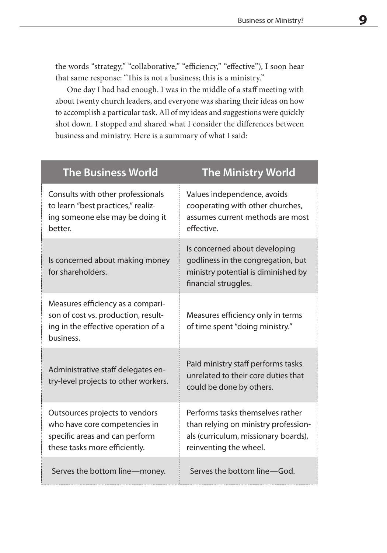the words "strategy," "collaborative," "efficiency," "effective"), I soon hear that same response: "This is not a business; this is a ministry."

One day I had had enough. I was in the middle of a staff meeting with about twenty church leaders, and everyone was sharing their ideas on how to accomplish a particular task. All of my ideas and suggestions were quickly shot down. I stopped and shared what I consider the differences between business and ministry. Here is a summary of what I said:

| <b>The Business World</b>                                                                                                          | <b>The Ministry World</b>                                                                                                                  |
|------------------------------------------------------------------------------------------------------------------------------------|--------------------------------------------------------------------------------------------------------------------------------------------|
| Consults with other professionals<br>to learn "best practices," realiz-<br>ing someone else may be doing it<br>better.             | Values independence, avoids<br>cooperating with other churches,<br>assumes current methods are most<br>effective.                          |
| Is concerned about making money<br>for shareholders.                                                                               | Is concerned about developing<br>godliness in the congregation, but<br>ministry potential is diminished by<br>financial struggles.         |
| Measures efficiency as a compari-<br>son of cost vs. production, result-<br>ing in the effective operation of a<br>business.       | Measures efficiency only in terms<br>of time spent "doing ministry."                                                                       |
| Administrative staff delegates en-<br>try-level projects to other workers.                                                         | Paid ministry staff performs tasks<br>unrelated to their core duties that<br>could be done by others.                                      |
| Outsources projects to vendors<br>who have core competencies in<br>specific areas and can perform<br>these tasks more efficiently. | Performs tasks themselves rather<br>than relying on ministry profession-<br>als (curriculum, missionary boards),<br>reinventing the wheel. |
| Serves the bottom line-money.                                                                                                      | Serves the bottom line-God.                                                                                                                |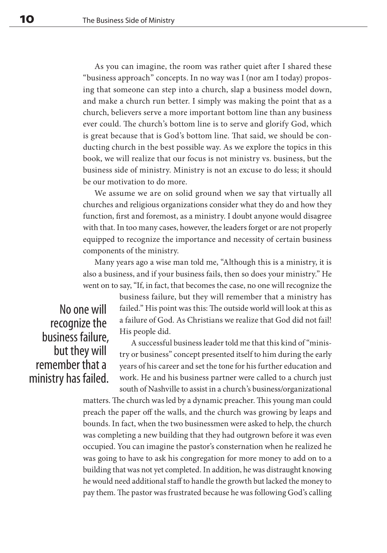As you can imagine, the room was rather quiet after I shared these "business approach" concepts. In no way was I (nor am I today) proposing that someone can step into a church, slap a business model down, and make a church run better. I simply was making the point that as a church, believers serve a more important bottom line than any business ever could. The church's bottom line is to serve and glorify God, which is great because that is God's bottom line. That said, we should be conducting church in the best possible way. As we explore the topics in this book, we will realize that our focus is not ministry vs. business, but the business side of ministry. Ministry is not an excuse to do less; it should be our motivation to do more.

We assume we are on solid ground when we say that virtually all churches and religious organizations consider what they do and how they function, first and foremost, as a ministry. I doubt anyone would disagree with that. In too many cases, however, the leaders forget or are not properly equipped to recognize the importance and necessity of certain business components of the ministry.

Many years ago a wise man told me, "Although this is a ministry, it is also a business, and if your business fails, then so does your ministry." He went on to say, "If, in fact, that becomes the case, no one will recognize the

No one will recognize the business failure, but they will remember that a ministry has failed. business failure, but they will remember that a ministry has failed." His point was this: The outside world will look at this as a failure of God. As Christians we realize that God did not fail! His people did.

A successful business leader told me that this kind of "ministry or business" concept presented itself to him during the early years of his career and set the tone for his further education and work. He and his business partner were called to a church just south of Nashville to assist in a church's business/organizational

matters. The church was led by a dynamic preacher. This young man could preach the paper off the walls, and the church was growing by leaps and bounds. In fact, when the two businessmen were asked to help, the church was completing a new building that they had outgrown before it was even occupied. You can imagine the pastor's consternation when he realized he was going to have to ask his congregation for more money to add on to a building that was not yet completed. In addition, he was distraught knowing he would need additional staff to handle the growth but lacked the money to pay them. The pastor was frustrated because he was following God's calling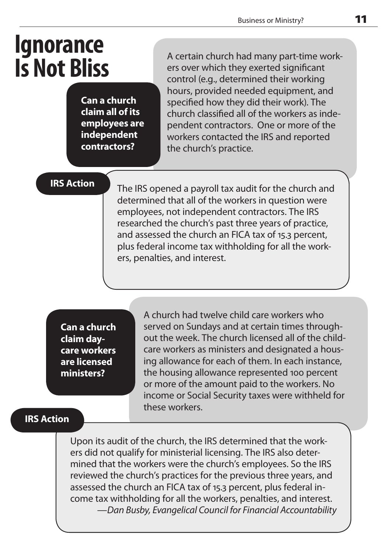# **Ignorance**

**Can a church claim all of its employees are independent contractors?**

**IS NOT BLISS** A certain church had many part-time work-<br> **IS NOT BLISS** ers over which they exerted significant ers over which they exerted significant control (e.g., determined their working hours, provided needed equipment, and specified how they did their work). The church classified all of the workers as independent contractors. One or more of the workers contacted the IRS and reported the church's practice.

## **IRS Action**

The IRS opened a payroll tax audit for the church and determined that all of the workers in question were employees, not independent contractors. The IRS researched the church's past three years of practice, and assessed the church an FICA tax of 15.3 percent, plus federal income tax withholding for all the workers, penalties, and interest.

**Can a church claim daycare workers are licensed ministers?**

A church had twelve child care workers who served on Sundays and at certain times throughout the week. The church licensed all of the childcare workers as ministers and designated a housing allowance for each of them. In each instance, the housing allowance represented 100 percent or more of the amount paid to the workers. No income or Social Security taxes were withheld for these workers.

## **IRS Action**

Upon its audit of the church, the IRS determined that the workers did not qualify for ministerial licensing. The IRS also determined that the workers were the church's employees. So the IRS reviewed the church's practices for the previous three years, and assessed the church an FICA tax of 15.3 percent, plus federal income tax withholding for all the workers, penalties, and interest. —*Dan Busby, Evangelical Council for Financial Accountability*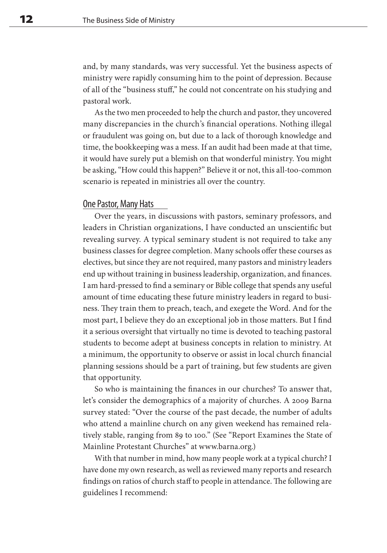and, by many standards, was very successful. Yet the business aspects of ministry were rapidly consuming him to the point of depression. Because of all of the "business stuff," he could not concentrate on his studying and pastoral work.

As the two men proceeded to help the church and pastor, they uncovered many discrepancies in the church's financial operations. Nothing illegal or fraudulent was going on, but due to a lack of thorough knowledge and time, the bookkeeping was a mess. If an audit had been made at that time, it would have surely put a blemish on that wonderful ministry. You might be asking, "How could this happen?" Believe it or not, this all-too-common scenario is repeated in ministries all over the country.

#### **One Pastor, Many Hats**

Over the years, in discussions with pastors, seminary professors, and leaders in Christian organizations, I have conducted an unscientific but revealing survey. A typical seminary student is not required to take any business classes for degree completion. Many schools offer these courses as electives, but since they are not required, many pastors and ministry leaders end up without training in business leadership, organization, and finances. I am hard-pressed to find a seminary or Bible college that spends any useful amount of time educating these future ministry leaders in regard to business. They train them to preach, teach, and exegete the Word. And for the most part, I believe they do an exceptional job in those matters. But I find it a serious oversight that virtually no time is devoted to teaching pastoral students to become adept at business concepts in relation to ministry. At a minimum, the opportunity to observe or assist in local church financial planning sessions should be a part of training, but few students are given that opportunity.

So who is maintaining the finances in our churches? To answer that, let's consider the demographics of a majority of churches. A 2009 Barna survey stated: "Over the course of the past decade, the number of adults who attend a mainline church on any given weekend has remained relatively stable, ranging from 89 to 100." (See "Report Examines the State of Mainline Protestant Churches" at www.barna.org.)

With that number in mind, how many people work at a typical church? I have done my own research, as well as reviewed many reports and research findings on ratios of church staff to people in attendance. The following are guidelines I recommend: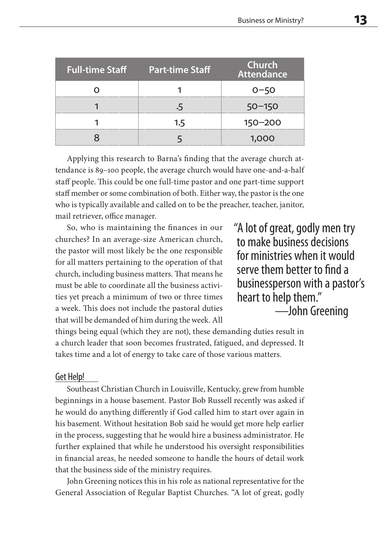| <b>Full-time Staff</b> | <b>Part-time Staff</b> | Church<br><b>Attendance</b> |
|------------------------|------------------------|-----------------------------|
|                        |                        |                             |
|                        |                        | 50–150                      |
|                        | 1.5                    | $150 - 200$                 |
|                        |                        |                             |

Applying this research to Barna's finding that the average church attendance is 89–100 people, the average church would have one-and-a-half staff people. This could be one full-time pastor and one part-time support staff member or some combination of both. Either way, the pastor is the one who is typically available and called on to be the preacher, teacher, janitor, mail retriever, office manager.

So, who is maintaining the finances in our churches? In an average-size American church, the pastor will most likely be the one responsible for all matters pertaining to the operation of that church, including business matters. That means he must be able to coordinate all the business activities yet preach a minimum of two or three times a week. This does not include the pastoral duties that will be demanded of him during the week. All

"A lot of great, godly men try to make business decisions for ministries when it would serve them better to find a businessperson with a pastor's heart to help them." —John Greening

things being equal (which they are not), these demanding duties result in a church leader that soon becomes frustrated, fatigued, and depressed. It takes time and a lot of energy to take care of those various matters.

### Get Help!

Southeast Christian Church in Louisville, Kentucky, grew from humble beginnings in a house basement. Pastor Bob Russell recently was asked if he would do anything differently if God called him to start over again in his basement. Without hesitation Bob said he would get more help earlier in the process, suggesting that he would hire a business administrator. He further explained that while he understood his oversight responsibilities in financial areas, he needed someone to handle the hours of detail work that the business side of the ministry requires.

John Greening notices this in his role as national representative for the General Association of Regular Baptist Churches. "A lot of great, godly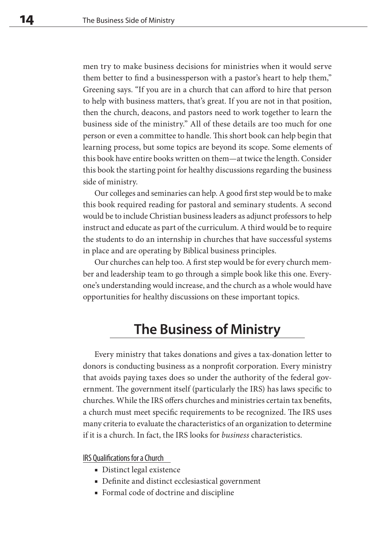men try to make business decisions for ministries when it would serve them better to find a businessperson with a pastor's heart to help them," Greening says. "If you are in a church that can afford to hire that person to help with business matters, that's great. If you are not in that position, then the church, deacons, and pastors need to work together to learn the business side of the ministry." All of these details are too much for one person or even a committee to handle. This short book can help begin that learning process, but some topics are beyond its scope. Some elements of this book have entire books written on them—at twice the length. Consider this book the starting point for healthy discussions regarding the business side of ministry.

Our colleges and seminaries can help. A good first step would be to make this book required reading for pastoral and seminary students. A second would be to include Christian business leaders as adjunct professors to help instruct and educate as part of the curriculum. A third would be to require the students to do an internship in churches that have successful systems in place and are operating by Biblical business principles.

Our churches can help too. A first step would be for every church member and leadership team to go through a simple book like this one. Everyone's understanding would increase, and the church as a whole would have opportunities for healthy discussions on these important topics.

# **The Business of Ministry**

Every ministry that takes donations and gives a tax-donation letter to donors is conducting business as a nonprofit corporation. Every ministry that avoids paying taxes does so under the authority of the federal government. The government itself (particularly the IRS) has laws specific to churches. While the IRS offers churches and ministries certain tax benefits, a church must meet specific requirements to be recognized. The IRS uses many criteria to evaluate the characteristics of an organization to determine if it is a church. In fact, the IRS looks for *business* characteristics.

IRS Qualifications for a Church

- Distinct legal existence
- Definite and distinct ecclesiastical government
- Formal code of doctrine and discipline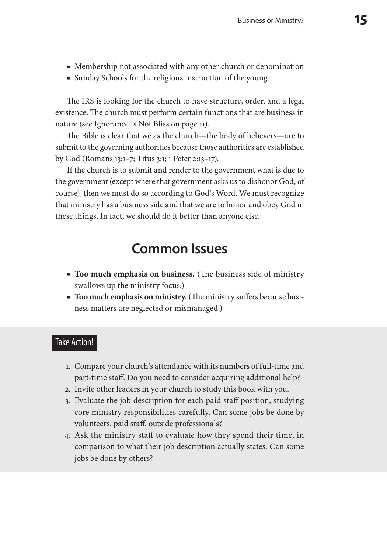- Membership not associated with any other church or denomination
- Sunday Schools for the religious instruction of the young

The IRS is looking for the church to have structure, order, and a legal existence. The church must perform certain functions that are business in nature (see Ignorance Is Not Bliss on page 11).

The Bible is clear that we as the church—the body of believers—are to submit to the governing authorities because those authorities are established by God (Romans 13:1–7; Titus 3:1; 1 Peter 2:13–17).

If the church is to submit and render to the government what is due to the government (except where that government asks us to dishonor God, of course), then we must do so according to God's Word. We must recognize that ministry has a business side and that we are to honor and obey God in these things. In fact, we should do it better than anyone else.

## **Common Issues**

- **Too much emphasis on business.** (The business side of ministry swallows up the ministry focus.)
- **Too much emphasis on ministry.** (The ministry suffers because business matters are neglected or mismanaged.)

### Take Action!

- 1. Compare your church's attendance with its numbers of full-time and part-time staff. Do you need to consider acquiring additional help?
- 2. Invite other leaders in your church to study this book with you.
- . Evaluate the job description for each paid staff position, studying core ministry responsibilities carefully. Can some jobs be done by volunteers, paid staff, outside professionals?
- . Ask the ministry staff to evaluate how they spend their time, in comparison to what their job description actually states. Can some jobs be done by others?